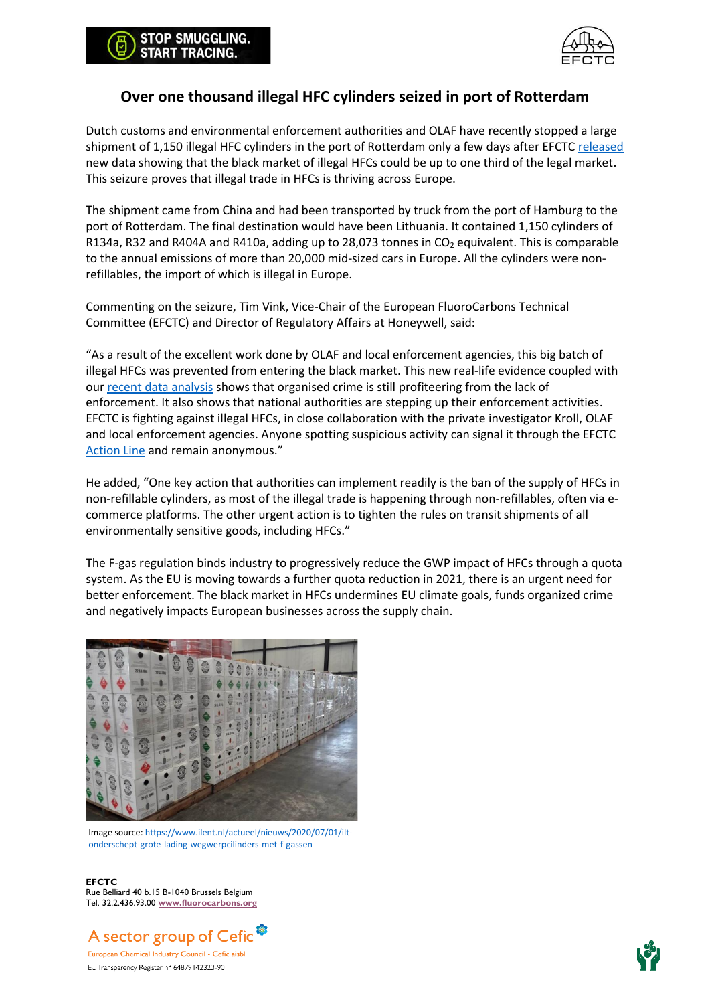

## **Over one thousand illegal HFC cylinders seized in port of Rotterdam**

Dutch customs and environmental enforcement authorities and OLAF have recently stopped a large shipment of 1,150 illegal HFC cylinders in the port of Rotterdam only a few days after EFCT[C released](https://stopillegalcooling.eu/wp-content/uploads/EFCTC_Press-Release_EN-2.pdf) new data showing that the black market of illegal HFCs could be up to one third of the legal market. This seizure proves that illegal trade in HFCs is thriving across Europe.

The shipment came from China and had been transported by truck from the port of Hamburg to the port of Rotterdam. The final destination would have been Lithuania. It contained 1,150 cylinders of R134a, R32 and R404A and R410a, adding up to 28,073 tonnes in  $CO<sub>2</sub>$  equivalent. This is comparable to the annual emissions of more than 20,000 mid-sized cars in Europe. All the cylinders were nonrefillables, the import of which is illegal in Europe.

Commenting on the seizure, Tim Vink, Vice-Chair of the European FluoroCarbons Technical Committee (EFCTC) and Director of Regulatory Affairs at Honeywell, said:

"As a result of the excellent work done by OLAF and local enforcement agencies, this big batch of illegal HFCs was prevented from entering the black market. This new real-life evidence coupled with our [recent data analysis](https://stopillegalcooling.eu/wp-content/uploads/EFCTC_Press-Release_EN-2.pdf) shows that organised crime is still profiteering from the lack of enforcement. It also shows that national authorities are stepping up their enforcement activities. EFCTC is fighting against illegal HFCs, in close collaboration with the private investigator Kroll, OLAF and local enforcement agencies. Anyone spotting suspicious activity can signal it through the EFCTC [Action Line](https://stopillegalcooling.eu/#news) and remain anonymous."

He added, "One key action that authorities can implement readily is the ban of the supply of HFCs in non-refillable cylinders, as most of the illegal trade is happening through non-refillables, often via ecommerce platforms. The other urgent action is to tighten the rules on transit shipments of all environmentally sensitive goods, including HFCs."

The F-gas regulation binds industry to progressively reduce the GWP impact of HFCs through a quota system. As the EU is moving towards a further quota reduction in 2021, there is an urgent need for better enforcement. The black market in HFCs undermines EU climate goals, funds organized crime and negatively impacts European businesses across the supply chain.



Image source: [https://www.ilent.nl/actueel/nieuws/2020/07/01/ilt](https://www.ilent.nl/actueel/nieuws/2020/07/01/ilt-onderschept-grote-lading-wegwerpcilinders-met-f-gassen)[onderschept-grote-lading-wegwerpcilinders-met-f-gassen](https://www.ilent.nl/actueel/nieuws/2020/07/01/ilt-onderschept-grote-lading-wegwerpcilinders-met-f-gassen)

**EFCTC** Rue Belliard 40 b.15 B-1040 Brussels Belgium Tel. 32.2.436.93.00 **[www.fluorocarbons.org](http://www.fluorocarbons.org/)**